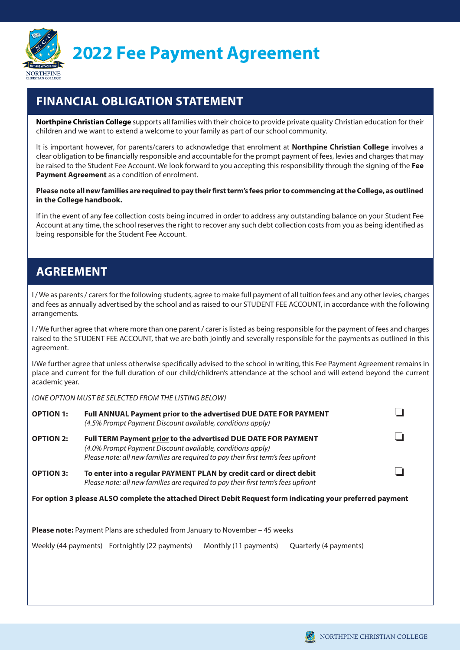

**2022 Fee Payment Agreement**

## **FINANCIAL OBLIGATION STATEMENT**

**Northpine Christian College** supports all families with their choice to provide private quality Christian education for their children and we want to extend a welcome to your family as part of our school community.

It is important however, for parents/carers to acknowledge that enrolment at **Northpine Christian College** involves a clear obligation to be financially responsible and accountable for the prompt payment of fees, levies and charges that may be raised to the Student Fee Account. We look forward to you accepting this responsibility through the signing of the **Fee Payment Agreement** as a condition of enrolment.

**Please note all new families are required to pay their first term's fees prior to commencing at the College, as outlined in the College handbook.** 

If in the event of any fee collection costs being incurred in order to address any outstanding balance on your Student Fee Account at any time, the school reserves the right to recover any such debt collection costs from you as being identified as being responsible for the Student Fee Account.

## **AGREEMENT**

I / We as parents / carers for the following students, agree to make full payment of all tuition fees and any other levies, charges and fees as annually advertised by the school and as raised to our STUDENT FEE ACCOUNT, in accordance with the following arrangements.

I / We further agree that where more than one parent / carer is listed as being responsible for the payment of fees and charges raised to the STUDENT FEE ACCOUNT, that we are both jointly and severally responsible for the payments as outlined in this agreement.

I/We further agree that unless otherwise specifically advised to the school in writing, this Fee Payment Agreement remains in place and current for the full duration of our child/children's attendance at the school and will extend beyond the current academic year.

*(ONE OPTION MUST BE SELECTED FROM THE LISTING BELOW)*

| <b>OPTION 1:</b>                                                                                           | Full ANNUAL Payment prior to the advertised DUE DATE FOR PAYMENT<br>(4.5% Prompt Payment Discount available, conditions apply)                                                                                           |  |  |  |  |  |  |  |
|------------------------------------------------------------------------------------------------------------|--------------------------------------------------------------------------------------------------------------------------------------------------------------------------------------------------------------------------|--|--|--|--|--|--|--|
| <b>OPTION 2:</b>                                                                                           | Full TERM Payment <u>prior</u> to the advertised DUE DATE FOR PAYMENT<br>(4.0% Prompt Payment Discount available, conditions apply)<br>Please note: all new families are required to pay their first term's fees upfront |  |  |  |  |  |  |  |
| <b>OPTION 3:</b>                                                                                           | To enter into a regular PAYMENT PLAN by credit card or direct debit<br>Please note: all new families are required to pay their first term's fees upfront                                                                 |  |  |  |  |  |  |  |
| For option 3 please ALSO complete the attached Direct Debit Request form indicating your preferred payment |                                                                                                                                                                                                                          |  |  |  |  |  |  |  |
| <b>Please note:</b> Payment Plans are scheduled from January to November – 45 weeks                        |                                                                                                                                                                                                                          |  |  |  |  |  |  |  |
|                                                                                                            | Weekly (44 payments) Fortnightly (22 payments)<br>Monthly (11 payments)<br>Quarterly (4 payments)                                                                                                                        |  |  |  |  |  |  |  |

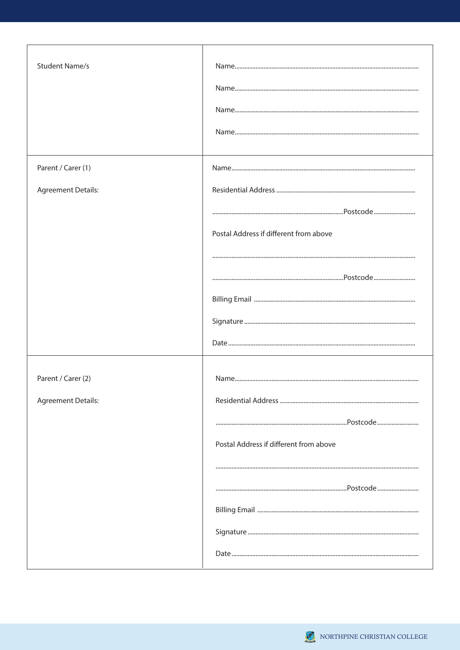| <b>Student Name/s</b>     |                                        |
|---------------------------|----------------------------------------|
| Parent / Carer (1)        |                                        |
| <b>Agreement Details:</b> |                                        |
|                           |                                        |
|                           | Postal Address if different from above |
|                           |                                        |
|                           |                                        |
|                           |                                        |
|                           |                                        |
|                           |                                        |
| Parent / Carer (2)        |                                        |
| <b>Agreement Details:</b> |                                        |
|                           |                                        |
|                           | Postal Address if different from above |
|                           |                                        |
|                           |                                        |
|                           |                                        |
|                           |                                        |
|                           |                                        |

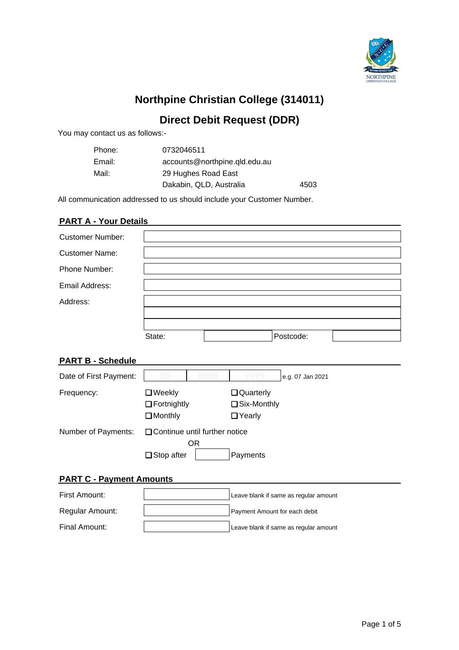

# **Northpine Christian College (314011)**

## **Direct Debit Request (DDR)**

You may contact us as follows:-

| Phone: | 0732046511                    |      |
|--------|-------------------------------|------|
| Email: | accounts@northpine.qld.edu.au |      |
| Mail:  | 29 Hughes Road East           |      |
|        | Dakabin, QLD, Australia       | 4503 |

All communication addressed to us should include your Customer Number.

## **PART A - Your Details**

| <b>Customer Number:</b> |        |           |  |
|-------------------------|--------|-----------|--|
| <b>Customer Name:</b>   |        |           |  |
| Phone Number:           |        |           |  |
| Email Address:          |        |           |  |
| Address:                |        |           |  |
|                         |        |           |  |
|                         |        |           |  |
|                         | State: | Postcode: |  |

## **PART B - Schedule**

| Date of First Payment: | DD.                                                   | <b>MMM</b> | YYYY                                        | e.g. 07 Jan 2021 |  |  |  |  |
|------------------------|-------------------------------------------------------|------------|---------------------------------------------|------------------|--|--|--|--|
| Frequency:             | $\Box$ Weekly<br>$\Box$ Fortnightly<br>$\Box$ Monthly |            | Quarterly<br>$\Box$ Six-Monthly<br>□ Yearly |                  |  |  |  |  |
| Number of Payments:    | □ Continue until further notice<br>$\Box$ Stop after  | OR         | Payments                                    |                  |  |  |  |  |

## **PART C - Payment Amounts**

| First Amount:   | Leave blank if same as regular amount |
|-----------------|---------------------------------------|
| Regular Amount: | Payment Amount for each debit         |
| Final Amount:   | Leave blank if same as regular amount |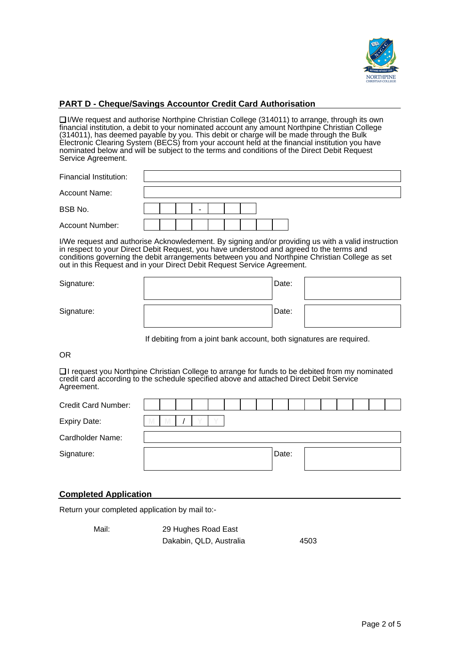

## **PART D - Cheque/Savings Accountor Credit Card Authorisation**

❏ I/We request and authorise Northpine Christian College (314011) to arrange, through its own financial institution, a debit to your nominated account any amount Northpine Christian College (314011), has deemed payable by you. This debit or charge will be made through the Bulk Electronic Clearing System (BECS) from your account held at the financial institution you have nominated below and will be subject to the terms and conditions of the Direct Debit Request Service Agreement.

| Financial Institution: |  |  |  |  |  |  |  |  |  |
|------------------------|--|--|--|--|--|--|--|--|--|
| <b>Account Name:</b>   |  |  |  |  |  |  |  |  |  |
| BSB No.                |  |  |  |  |  |  |  |  |  |
| <b>Account Number:</b> |  |  |  |  |  |  |  |  |  |

I/We request and authorise Acknowledement. By signing and/or providing us with a valid instruction in respect to your Direct Debit Request, you have understood and agreed to the terms and conditions governing the debit arrangements between you and Northpine Christian College as set out in this Request and in your Direct Debit Request Service Agreement.

| Signature: | Date: |  |
|------------|-------|--|
| Signature: | Date: |  |

If debiting from a joint bank account, both signatures are required.

#### OR

❏ I request you Northpine Christian College to arrange for funds to be debited from my nominated credit card according to the schedule specified above and attached Direct Debit Service Agreement.

| <b>Credit Card Number:</b> |   |  |  |  |       |  |  |  |  |
|----------------------------|---|--|--|--|-------|--|--|--|--|
| <b>Expiry Date:</b>        | M |  |  |  |       |  |  |  |  |
| Cardholder Name:           |   |  |  |  |       |  |  |  |  |
| Signature:                 |   |  |  |  | Date: |  |  |  |  |
|                            |   |  |  |  |       |  |  |  |  |

## **Completed Application**

Return your completed application by mail to:-

| Mail: | 29 Hughes Road East     |      |
|-------|-------------------------|------|
|       | Dakabin, QLD, Australia | 4503 |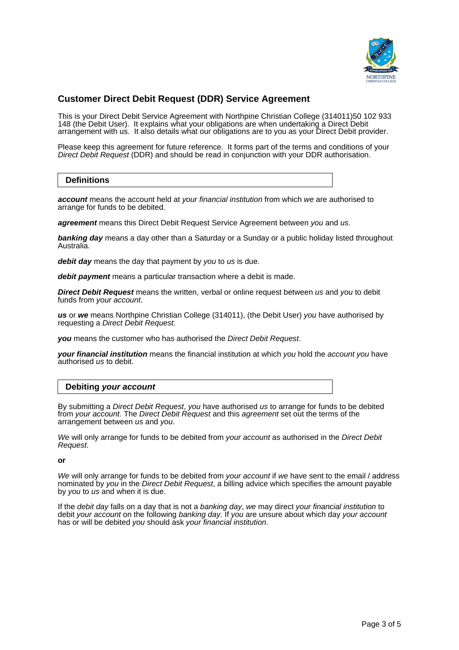

## **Customer Direct Debit Request (DDR) Service Agreement**

This is your Direct Debit Service Agreement with Northpine Christian College (314011)50 102 933 148 (the Debit User). It explains what your obligations are when undertaking a Direct Debit arrangement with us. It also details what our obligations are to you as your Direct Debit provider.

Please keep this agreement for future reference. It forms part of the terms and conditions of your Direct Debit Request (DDR) and should be read in conjunction with your DDR authorisation.

## **Definitions**

**account** means the account held at your financial institution from which we are authorised to arrange for funds to be debited.

**agreement** means this Direct Debit Request Service Agreement between you and us.

**banking day** means a day other than a Saturday or a Sunday or a public holiday listed throughout Australia.

**debit day** means the day that payment by you to us is due.

**debit payment** means a particular transaction where a debit is made.

**Direct Debit Request** means the written, verbal or online request between us and you to debit funds from your account.

**us** or **we** means Northpine Christian College (314011), (the Debit User) you have authorised by requesting a Direct Debit Request.

**you** means the customer who has authorised the Direct Debit Request.

**your financial institution** means the financial institution at which you hold the account you have authorised us to debit.

## **Debiting your account**

By submitting a Direct Debit Request, you have authorised us to arrange for funds to be debited from your account. The Direct Debit Request and this agreement set out the terms of the arrangement between us and you.

We will only arrange for funds to be debited from your account as authorised in the Direct Debit Request.

**or**

We will only arrange for funds to be debited from your account if we have sent to the email / address nominated by you in the Direct Debit Request, a billing advice which specifies the amount payable by you to us and when it is due.

If the *debit day* falls on a day that is not a *banking day*, we may direct your financial institution to debit your account on the following banking day. If you are unsure about which day your account has or will be debited you should ask your financial institution.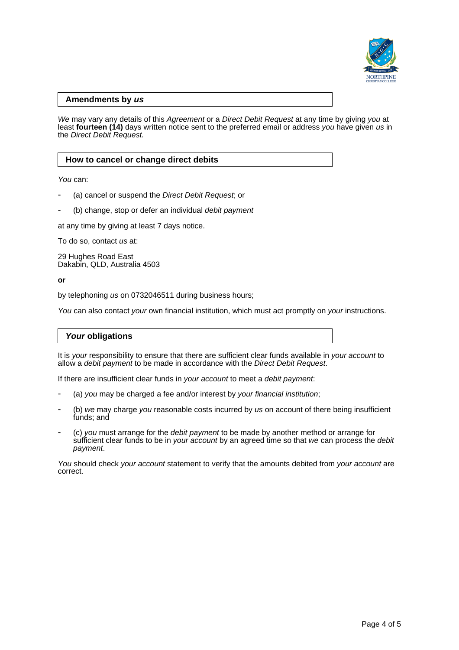

## **Amendments by us**

We may vary any details of this Agreement or a Direct Debit Request at any time by giving you at least fourteen (14) days written notice sent to the preferred email or address you have given us in the Direct Debit Request.

## **How to cancel or change direct debits**

You can:

- (a) cancel or suspend the Direct Debit Request; or
- (b) change, stop or defer an individual debit payment

at any time by giving at least 7 days notice.

To do so, contact us at:

29 Hughes Road East Dakabin, QLD, Australia 4503

**or**

by telephoning us on 0732046511 during business hours;

You can also contact your own financial institution, which must act promptly on your instructions.

#### **Your obligations**

It is your responsibility to ensure that there are sufficient clear funds available in your account to allow a debit payment to be made in accordance with the Direct Debit Request.

If there are insufficient clear funds in your account to meet a debit payment.

- (a) you may be charged a fee and/or interest by your financial institution;
- (b) we may charge you reasonable costs incurred by us on account of there being insufficient funds; and
- (c) you must arrange for the debit payment to be made by another method or arrange for sufficient clear funds to be in your account by an agreed time so that we can process the debit payment.

You should check your account statement to verify that the amounts debited from your account are correct.